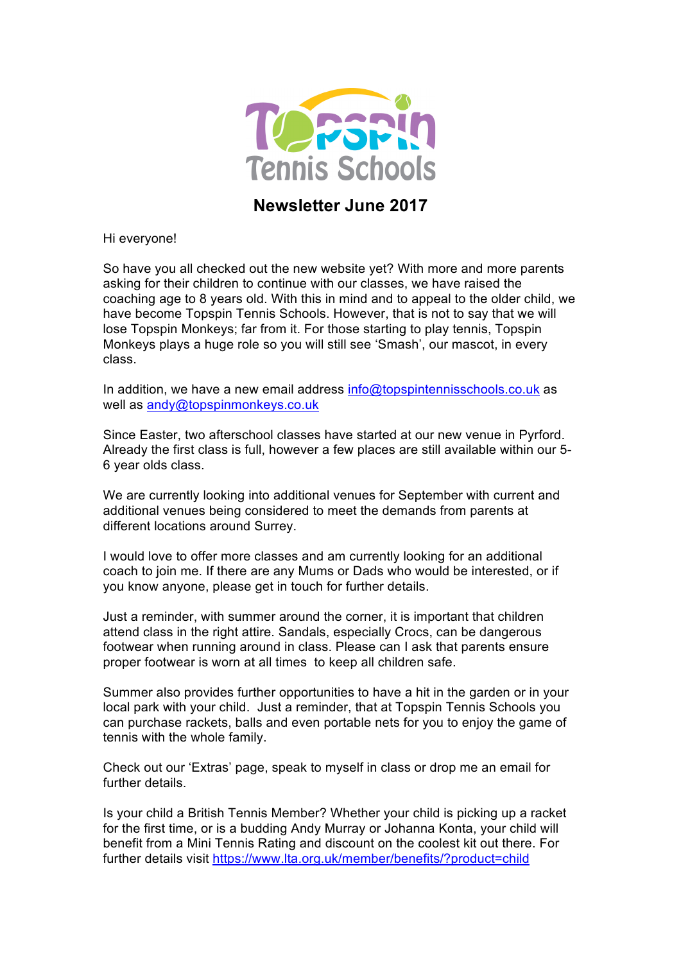

**Newsletter June 2017**

Hi everyone!

So have you all checked out the new website yet? With more and more parents asking for their children to continue with our classes, we have raised the coaching age to 8 years old. With this in mind and to appeal to the older child, we have become Topspin Tennis Schools. However, that is not to say that we will lose Topspin Monkeys; far from it. For those starting to play tennis, Topspin Monkeys plays a huge role so you will still see 'Smash', our mascot, in every class.

In addition, we have a new email address info@topspintennisschools.co.uk as well as andy@topspinmonkeys.co.uk

Since Easter, two afterschool classes have started at our new venue in Pyrford. Already the first class is full, however a few places are still available within our 5- 6 year olds class.

We are currently looking into additional venues for September with current and additional venues being considered to meet the demands from parents at different locations around Surrey.

I would love to offer more classes and am currently looking for an additional coach to join me. If there are any Mums or Dads who would be interested, or if you know anyone, please get in touch for further details.

Just a reminder, with summer around the corner, it is important that children attend class in the right attire. Sandals, especially Crocs, can be dangerous footwear when running around in class. Please can I ask that parents ensure proper footwear is worn at all times to keep all children safe.

Summer also provides further opportunities to have a hit in the garden or in your local park with your child. Just a reminder, that at Topspin Tennis Schools you can purchase rackets, balls and even portable nets for you to enjoy the game of tennis with the whole family.

Check out our 'Extras' page, speak to myself in class or drop me an email for further details.

Is your child a British Tennis Member? Whether your child is picking up a racket for the first time, or is a budding Andy Murray or Johanna Konta, your child will benefit from a Mini Tennis Rating and discount on the coolest kit out there. For further details visit https://www.lta.org.uk/member/benefits/?product=child